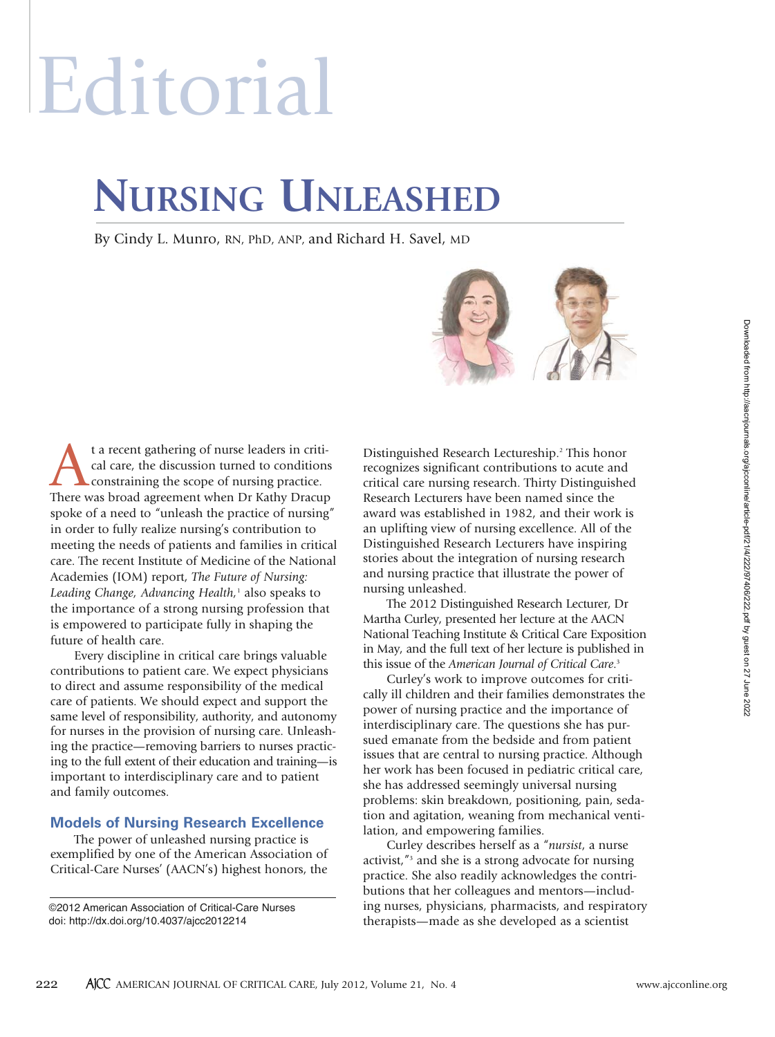# Editorial

# **NURSING UNLEASHED**

By Cindy L. Munro, RN, PhD, ANP, and Richard H. Savel, MD



At a recent gathering of nurse leaders in critical care, the discussion turned to conditions constraining the scope of nursing practice.<br>There was broad agreement when Dr Kathy Dracup cal care, the discussion turned to conditions constraining the scope of nursing practice. spoke of a need to "unleash the practice of nursing" in order to fully realize nursing's contribution to meeting the needs of patients and families in critical care. The recent Institute of Medicine of the National Academies (IOM) report, *The Future of Nursing: Leading Change, Advancing Health,*<sup>1</sup> also speaks to the importance of a strong nursing profession that is empowered to participate fully in shaping the future of health care.

Every discipline in critical care brings valuable contributions to patient care. We expect physicians to direct and assume responsibility of the medical care of patients. We should expect and support the same level of responsibility, authority, and autonomy for nurses in the provision of nursing care. Unleashing the practice—removing barriers to nurses practicing to the full extent of their education and training—is important to interdisciplinary care and to patient and family outcomes.

#### **Models of Nursing Research Excellence**

The power of unleashed nursing practice is exemplified by one of the American Association of Critical-Care Nurses' (AACN's) highest honors, the

©2012 American Association of Critical-Care Nurses doi: http://dx.doi.org/10.4037/ajcc2012214

Distinguished Research Lectureship.<sup>2</sup> This honor recognizes significant contributions to acute and critical care nursing research. Thirty Distinguished Research Lecturers have been named since the award was established in 1982, and their work is an uplifting view of nursing excellence. All of the Distinguished Research Lecturers have inspiring stories about the integration of nursing research and nursing practice that illustrate the power of nursing unleashed.

The 2012 Distinguished Research Lecturer, Dr Martha Curley, presented her lecture at the AACN National Teaching Institute & Critical Care Exposition in May, and the full text of her lecture is published in this issue of the *American Journal of Critical Care*. 3

Curley's work to improve outcomes for critically ill children and their families demonstrates the power of nursing practice and the importance of interdisciplinary care. The questions she has pursued emanate from the bedside and from patient issues that are central to nursing practice. Although her work has been focused in pediatric critical care, she has addressed seemingly universal nursing problems: skin breakdown, positioning, pain, sedation and agitation, weaning from mechanical ventilation, and empowering families.

Curley describes herself as a "*nursist*, a nurse activist,"3 and she is a strong advocate for nursing practice. She also readily acknowledges the contributions that her colleagues and mentors—including nurses, physicians, pharmacists, and respiratory therapists—made as she developed as a scientist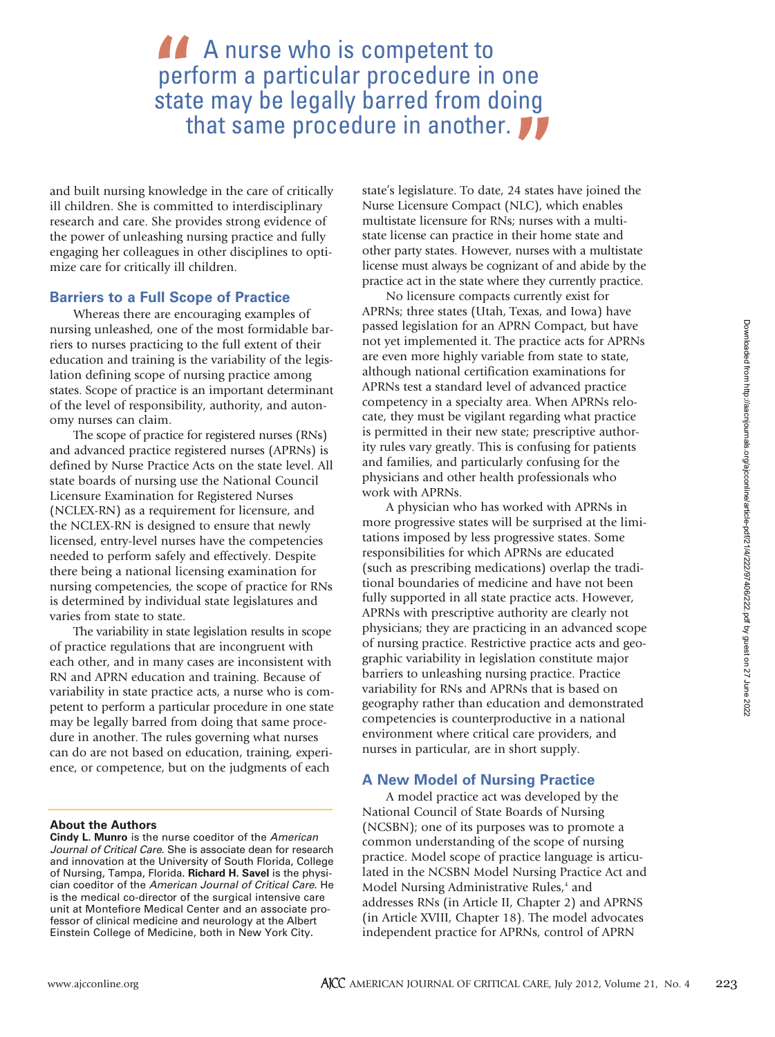### **A** A nurse who is competent to<br>perform a particular procedure in perform a particular procedure in one state may be legally barred from doing that same procedure in another. **The**

and built nursing knowledge in the care of critically ill children. She is committed to interdisciplinary research and care. She provides strong evidence of the power of unleashing nursing practice and fully engaging her colleagues in other disciplines to optimize care for critically ill children.

#### **Barriers to a Full Scope of Practice**

Whereas there are encouraging examples of nursing unleashed, one of the most formidable barriers to nurses practicing to the full extent of their education and training is the variability of the legislation defining scope of nursing practice among states. Scope of practice is an important determinant of the level of responsibility, authority, and autonomy nurses can claim.

The scope of practice for registered nurses (RNs) and advanced practice registered nurses (APRNs) is defined by Nurse Practice Acts on the state level. All state boards of nursing use the National Council Licensure Examination for Registered Nurses (NCLEX-RN) as a requirement for licensure, and the NCLEX-RN is designed to ensure that newly licensed, entry-level nurses have the competencies needed to perform safely and effectively. Despite there being a national licensing examination for nursing competencies, the scope of practice for RNs is determined by individual state legislatures and varies from state to state.

The variability in state legislation results in scope of practice regulations that are incongruent with each other, and in many cases are inconsistent with RN and APRN education and training. Because of variability in state practice acts, a nurse who is competent to perform a particular procedure in one state may be legally barred from doing that same procedure in another. The rules governing what nurses can do are not based on education, training, experience, or competence, but on the judgments of each

#### **About the Authors**

**Cindy L. Munro** is the nurse coeditor of the *American Journal of Critical Care*. She is associate dean for research and innovation at the University of South Florida, College of Nursing, Tampa, Florida. **Richard H. Savel** is the physician coeditor of the *American Journal of Critical Care*. He is the medical co-director of the surgical intensive care unit at Montefiore Medical Center and an associate professor of clinical medicine and neurology at the Albert Einstein College of Medicine, both in New York City.

state's legislature. To date, 24 states have joined the Nurse Licensure Compact (NLC), which enables multistate licensure for RNs; nurses with a multistate license can practice in their home state and other party states. However, nurses with a multistate license must always be cognizant of and abide by the practice act in the state where they currently practice.

No licensure compacts currently exist for APRNs; three states (Utah, Texas, and Iowa) have passed legislation for an APRN Compact, but have not yet implemented it. The practice acts for APRNs are even more highly variable from state to state, although national certification examinations for APRNs test a standard level of advanced practice competency in a specialty area. When APRNs relocate, they must be vigilant regarding what practice is permitted in their new state; prescriptive authority rules vary greatly. This is confusing for patients and families, and particularly confusing for the physicians and other health professionals who work with APRNs.

A physician who has worked with APRNs in more progressive states will be surprised at the limitations imposed by less progressive states. Some responsibilities for which APRNs are educated (such as prescribing medications) overlap the traditional boundaries of medicine and have not been fully supported in all state practice acts. However, APRNs with prescriptive authority are clearly not physicians; they are practicing in an advanced scope of nursing practice. Restrictive practice acts and geographic variability in legislation constitute major barriers to unleashing nursing practice. Practice variability for RNs and APRNs that is based on geography rather than education and demonstrated competencies is counterproductive in a national environment where critical care providers, and nurses in particular, are in short supply.

#### **A New Model of Nursing Practice**

A model practice act was developed by the National Council of State Boards of Nursing (NCSBN); one of its purposes was to promote a common understanding of the scope of nursing practice. Model scope of practice language is articulated in the NCSBN Model Nursing Practice Act and Model Nursing Administrative Rules,<sup>4</sup> and addresses RNs (in Article II, Chapter 2) and APRNS (in Article XVIII, Chapter 18). The model advocates independent practice for APRNs, control of APRN